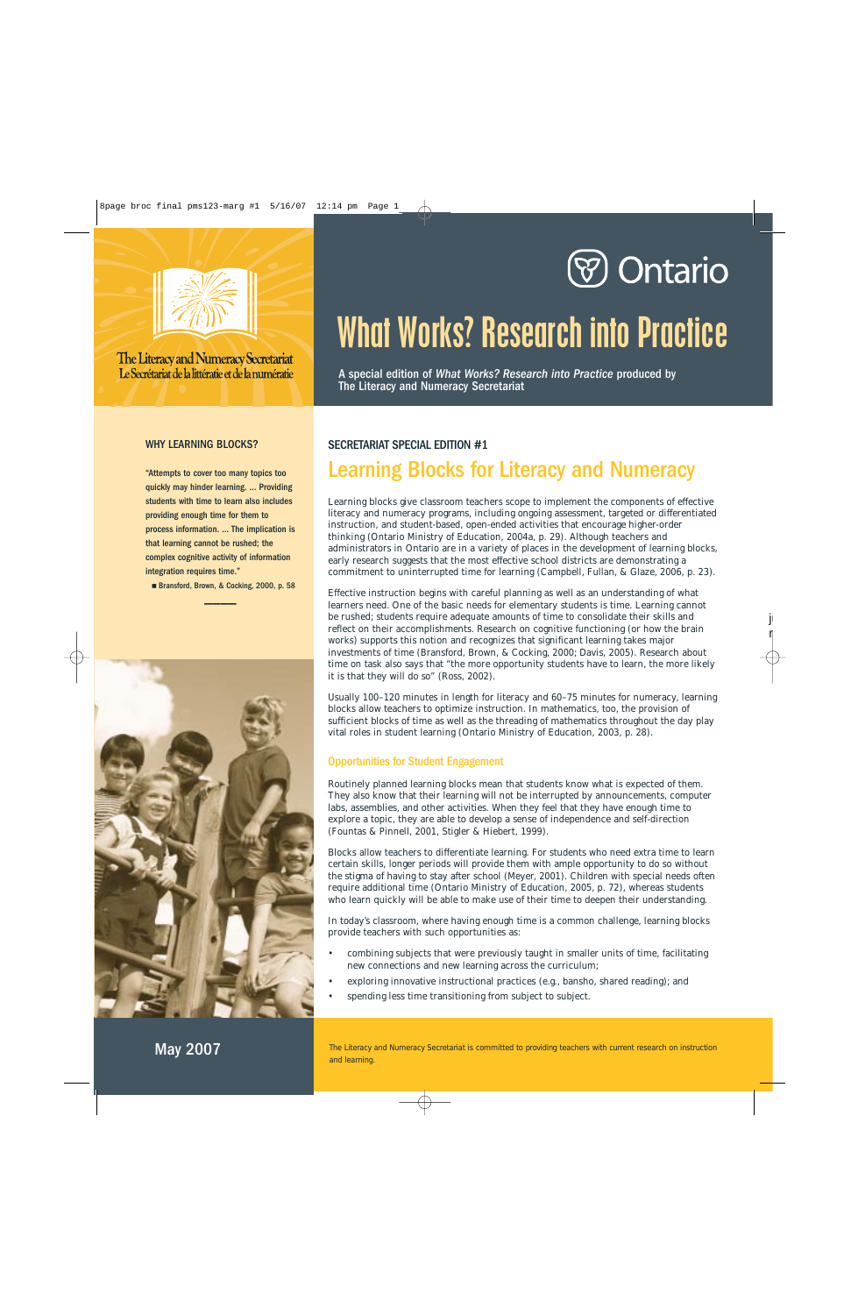



The Literacy and Numeracy Secretariat Le Secrétariat de la littératie et de la numératie

#### WHY LEARNING BLOCKS?

"Attempts to cover too many topics too quickly may hinder learning. … Providing students with time to learn also includes providing enough time for them to process information. … The implication is that learning cannot be rushed; the complex cognitive activity of information integration requires time."

■ Bransford, Brown, & Cocking, 2000, p. 58  $\overline{\phantom{a}}$ 



# What Works? Research into Practice

A special edition of *What Works? Research into Practice* produced by The Literacy and Numeracy Secretariat

### SECRETARIAT SPECIAL EDITION #1

# Learning Blocks for Literacy and Numeracy

Learning blocks give classroom teachers scope to implement the components of effective literacy and numeracy programs, including ongoing assessment, targeted or differentiated instruction, and student-based, open-ended activities that encourage higher-order thinking (Ontario Ministry of Education, 2004a, p. 29). Although teachers and administrators in Ontario are in a variety of places in the development of learning blocks, early research suggests that the most effective school districts are demonstrating a commitment to uninterrupted time for learning (Campbell, Fullan, & Glaze, 2006, p. 23).

Effective instruction begins with careful planning as well as an understanding of what learners need. One of the basic needs for elementary students is time. Learning cannot be rushed; students require adequate amounts of time to consolidate their skills and reflect on their accomplishments. Research on cognitive functioning (or how the brain works) supports this notion and recognizes that significant learning takes major investments of time (Bransford, Brown, & Cocking, 2000; Davis, 2005). Research about time on task also says that "the more opportunity students have to learn, the more likely it is that they will do so" (Ross, 2002).

Usually 100–120 minutes in length for literacy and 60–75 minutes for numeracy, learning blocks allow teachers to optimize instruction. In mathematics, too, the provision of sufficient blocks of time as well as the threading of mathematics throughout the day play vital roles in student learning (Ontario Ministry of Education, 2003, p. 28).

#### Opportunities for Student Engagement

Routinely planned learning blocks mean that students know what is expected of them. They also know that their learning will not be interrupted by announcements, computer labs, assemblies, and other activities. When they feel that they have enough time to explore a topic, they are able to develop a sense of independence and self-direction (Fountas & Pinnell, 2001, Stigler & Hiebert, 1999).

Blocks allow teachers to differentiate learning. For students who need extra time to learn certain skills, longer periods will provide them with ample opportunity to do so without the stigma of having to stay after school (Meyer, 2001). Children with special needs often require additional time (Ontario Ministry of Education, 2005, p. 72), whereas students who learn quickly will be able to make use of their time to deepen their understanding.

In today's classroom, where having enough time is a common challenge, learning blocks provide teachers with such opportunities as:

- combining subjects that were previously taught in smaller units of time, facilitating new connections and new learning across the curriculum;
- exploring innovative instructional practices (e.g., bansho, shared reading); and
- spending less time transitioning from subject to subject.

The Literacy and Numeracy Secretariat is committed to providing teachers with current research on instruction and learning.

May 2007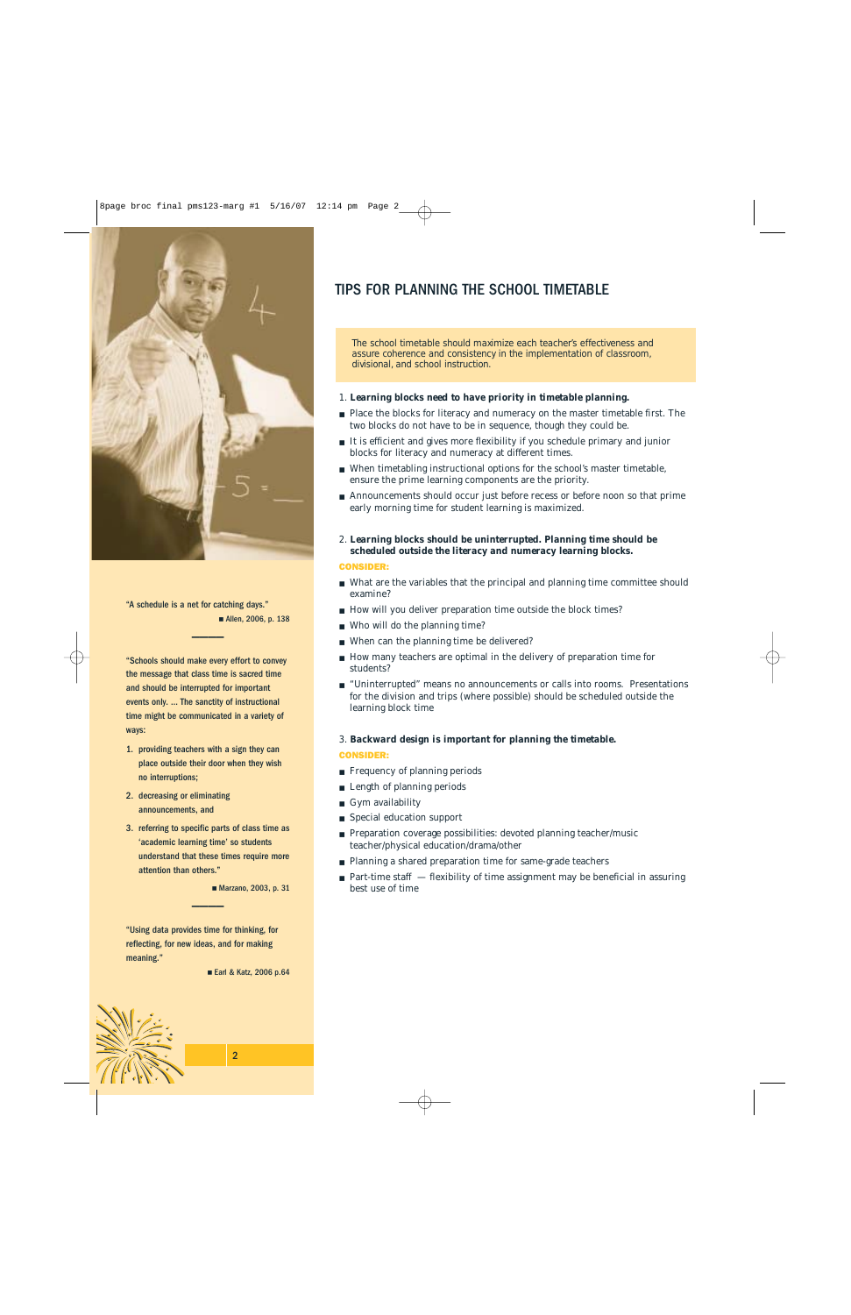

"A schedule is a net for catching days." ■ Allen, 2006, p. 138

\_\_\_\_

"Schools should make every effort to convey the message that class time is sacred time and should be interrupted for important events only. … The sanctity of instructional time might be communicated in a variety of ways:

- 1. providing teachers with a sign they can place outside their door when they wish no interruptions;
- 2. decreasing or eliminating announcements, and
- 3. referring to specific parts of class time as 'academic learning time' so students understand that these times require more attention than others."

\_\_\_\_

■ Marzano, 2003, p. 31

"Using data provides time for thinking, for reflecting, for new ideas, and for making meaning."

#### ■ Earl & Katz, 2006 p.64

# TIPS FOR PLANNING THE SCHOOL TIMETABLE

The school timetable should maximize each teacher's effectiveness and assure coherence and consistency in the implementation of classroom, divisional, and school instruction.

#### 1. *Learning blocks need to have priority in timetable planning.*

- Place the blocks for literacy and numeracy on the master timetable first. The two blocks do not have to be in sequence, though they could be.
- It is efficient and gives more flexibility if you schedule primary and junior blocks for literacy and numeracy at different times.
- When timetabling instructional options for the school's master timetable, ensure the prime learning components are the priority.
- Announcements should occur just before recess or before noon so that prime early morning time for student learning is maximized.
- 2. *Learning blocks should be uninterrupted. Planning time should be scheduled outside the literacy and numeracy learning blocks.*

#### CONSIDER:

- What are the variables that the principal and planning time committee should examine?
- How will you deliver preparation time outside the block times?
- Who will do the planning time?
- When can the planning time be delivered?
- How many teachers are optimal in the delivery of preparation time for students?
- "Uninterrupted" means no announcements or calls into rooms. Presentations for the division and trips (where possible) should be scheduled outside the learning block time

#### 3. *Backward design is important for planning the timetable.*

#### CONSIDER:

- Frequency of planning periods
- Length of planning periods
- Gym availability
- Special education support
- Preparation coverage possibilities: devoted planning teacher/music teacher/physical education/drama/other
- Planning a shared preparation time for same-grade teachers
- Part-time staff flexibility of time assignment may be beneficial in assuring best use of time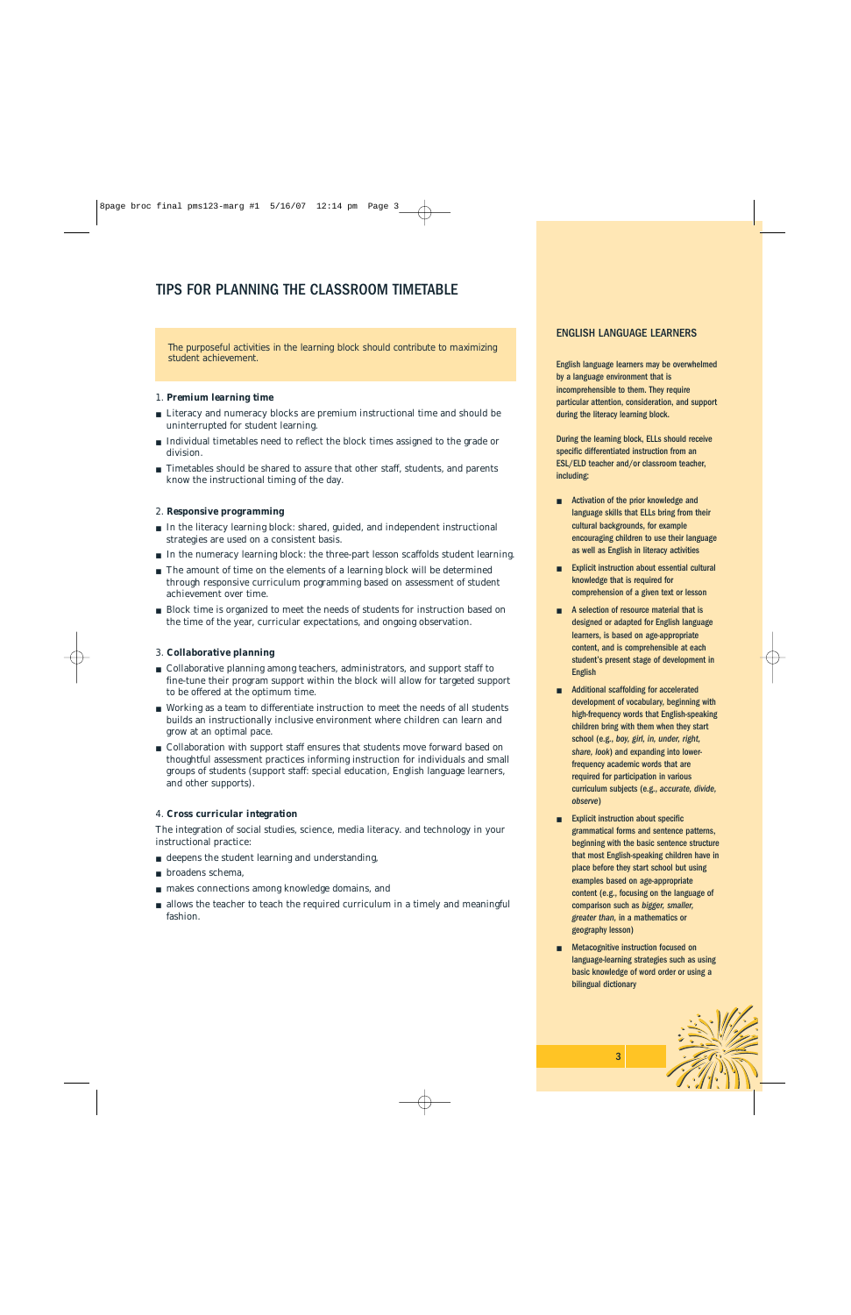# TIPS FOR PLANNING THE CLASSROOM TIMETABLE

The purposeful activities in the learning block should contribute to maximizing student achievement.

#### 1. *Premium learning time*

- Literacy and numeracy blocks are premium instructional time and should be uninterrupted for student learning.
- Individual timetables need to reflect the block times assigned to the grade or division.
- Timetables should be shared to assure that other staff, students, and parents know the instructional timing of the day.

#### 2. *Responsive programming*

- In the literacy learning block: shared, guided, and independent instructional strategies are used on a consistent basis.
- In the numeracy learning block: the three-part lesson scaffolds student learning.
- The amount of time on the elements of a learning block will be determined through responsive curriculum programming based on assessment of student achievement over time.
- Block time is organized to meet the needs of students for instruction based on the time of the year, curricular expectations, and ongoing observation.

#### 3. *Collaborative planning*

- Collaborative planning among teachers, administrators, and support staff to fine-tune their program support within the block will allow for targeted support to be offered at the optimum time.
- Working as a team to differentiate instruction to meet the needs of all students builds an instructionally inclusive environment where children can learn and grow at an optimal pace.
- Collaboration with support staff ensures that students move forward based on thoughtful assessment practices informing instruction for individuals and small groups of students (support staff: special education, English language learners, and other supports).

#### 4. *Cross curricular integration*

The integration of social studies, science, media literacy. and technology in your instructional practice:

- deepens the student learning and understanding,
- broadens schema.
- makes connections among knowledge domains, and
- allows the teacher to teach the required curriculum in a timely and meaningful fashion.

#### ENGLISH LANGUAGE LEARNERS

English language learners may be overwhelmed by a language environment that is incomprehensible to them. They require particular attention, consideration, and support during the literacy learning block.

During the learning block, ELLs should receive specific differentiated instruction from an ESL/ELD teacher and/or classroom teacher, including:

- Activation of the prior knowledge and language skills that ELLs bring from their cultural backgrounds, for example encouraging children to use their language as well as English in literacy activities
- Explicit instruction about essential cultural knowledge that is required for comprehension of a given text or lesson
- A selection of resource material that is designed or adapted for English language learners, is based on age-appropriate content, and is comprehensible at each student's present stage of development in English
- Additional scaffolding for accelerated development of vocabulary, beginning with high-frequency words that English-speaking children bring with them when they start school (e.g., *boy, girl, in, under, right, share, look*) and expanding into lowerfrequency academic words that are required for participation in various curriculum subjects (e.g., *accurate, divide, observe*)
- **Explicit instruction about specific** grammatical forms and sentence patterns, beginning with the basic sentence structure that most English-speaking children have in place before they start school but using examples based on age-appropriate content (e.g., focusing on the language of comparison such as *bigger, smaller, greater than,* in a mathematics or geography lesson)
- Metacognitive instruction focused on language-learning strategies such as using basic knowledge of word order or using a bilingual dictionary

3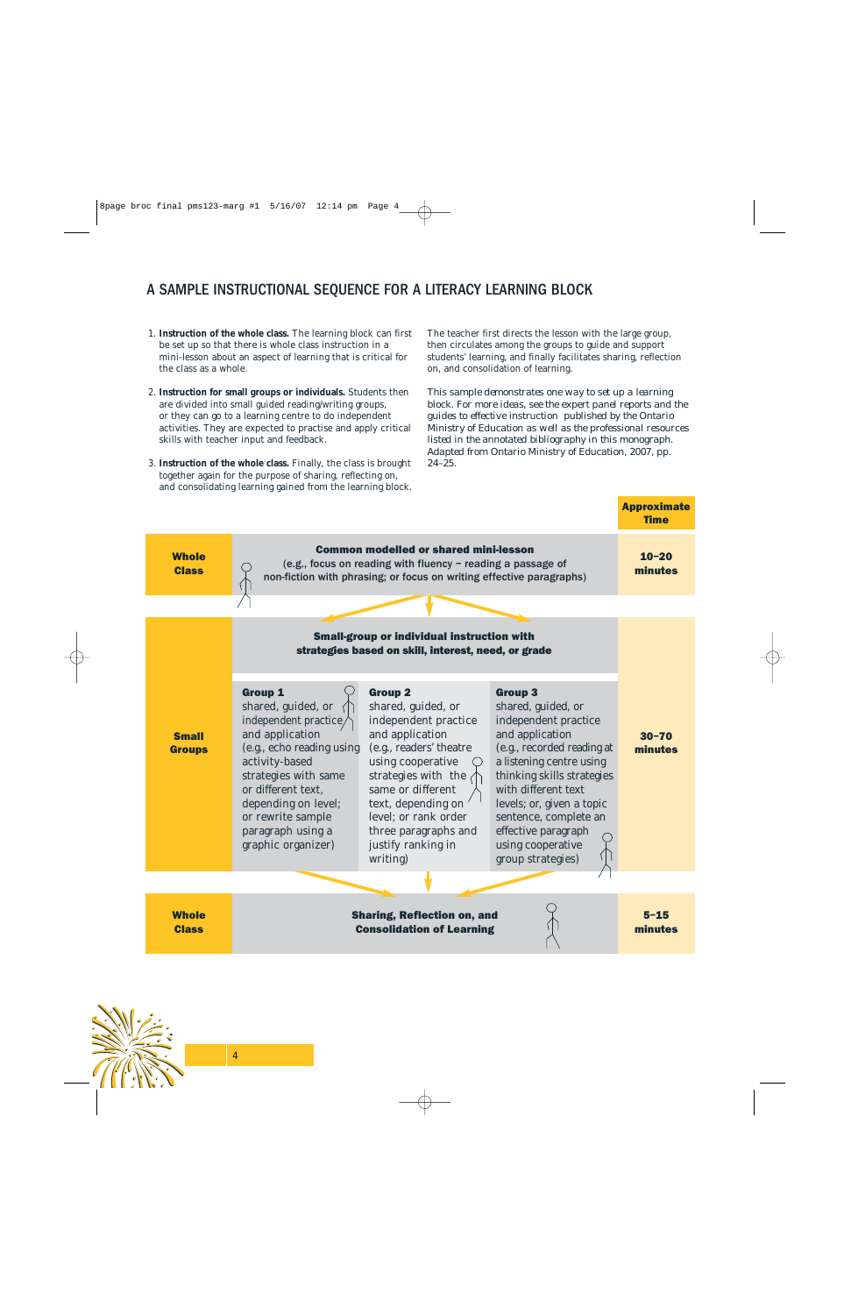# A SAMPLE INSTRUCTIONAL SEQUENCE FOR A LITERACY LEARNING BLOCK

- 1. **Instruction of the whole class.** The learning block can first be set up so that there is whole class instruction in a mini-lesson about an aspect of learning that is critical for the class as a whole.
- 2. **Instruction for small groups or individuals.** Students then are divided into small guided reading/writing groups, or they can go to a learning centre to do independent activities. They are expected to practise and apply critical skills with teacher input and feedback.
- 3. **Instruction of the whole class.** Finally, the class is brought together again for the purpose of sharing, reflecting on, and consolidating learning gained from the learning block.

The teacher first directs the lesson with the large group, then circulates among the groups to guide and support students' learning, and finally facilitates sharing, reflection on, and consolidation of learning.

*This sample demonstrates one way to set up a learning block. For more ideas, see the expert panel reports and the guides to effective instruction published by the Ontario Ministry of Education as well as the professional resources listed in the annotated bibliography in this monograph. Adapted from Ontario Ministry of Education, 2007, pp. 24–25.*

**Annroximate** 

|                               |                                                                                                                                                                                                                                                                      |                                                                                                                                                                                                                                                                                     |                                                                                                                                                                                                                                                                                                                       | <b>Time</b>          |
|-------------------------------|----------------------------------------------------------------------------------------------------------------------------------------------------------------------------------------------------------------------------------------------------------------------|-------------------------------------------------------------------------------------------------------------------------------------------------------------------------------------------------------------------------------------------------------------------------------------|-----------------------------------------------------------------------------------------------------------------------------------------------------------------------------------------------------------------------------------------------------------------------------------------------------------------------|----------------------|
| <b>Whole</b><br><b>Class</b>  | <b>Common modelled or shared mini-lesson</b><br>(e.g., focus on reading with fluency - reading a passage of<br>non-fiction with phrasing; or focus on writing effective paragraphs)                                                                                  |                                                                                                                                                                                                                                                                                     |                                                                                                                                                                                                                                                                                                                       | $10 - 20$<br>minutes |
|                               |                                                                                                                                                                                                                                                                      |                                                                                                                                                                                                                                                                                     |                                                                                                                                                                                                                                                                                                                       |                      |
|                               | <b>Small-group or individual instruction with</b><br>strategies based on skill, interest, need, or grade                                                                                                                                                             |                                                                                                                                                                                                                                                                                     |                                                                                                                                                                                                                                                                                                                       |                      |
| <b>Small</b><br><b>Groups</b> | <b>Group 1</b><br>shared, guided, or<br>independent practice/<br>and application<br>(e.g., echo reading using<br>activity-based<br>strategies with same<br>or different text,<br>depending on level;<br>or rewrite sample<br>paragraph using a<br>graphic organizer) | <b>Group 2</b><br>shared, guided, or<br>independent practice<br>and application<br>(e.g., readers' theatre<br>using cooperative<br>strategies with the<br>same or different<br>text, depending on<br>level; or rank order<br>three paragraphs and<br>justify ranking in<br>writing) | <b>Group 3</b><br>shared, guided, or<br>independent practice<br>and application<br>(e.g., recorded reading at<br>a listening centre using<br>thinking skills strategies<br>with different text<br>levels; or, given a topic<br>sentence, complete an<br>effective paragraph<br>using cooperative<br>group strategies) | $30 - 70$<br>minutes |
|                               |                                                                                                                                                                                                                                                                      |                                                                                                                                                                                                                                                                                     |                                                                                                                                                                                                                                                                                                                       |                      |
| <b>Whole</b><br><b>Class</b>  |                                                                                                                                                                                                                                                                      | <b>Sharing, Reflection on, and</b><br><b>Consolidation of Learning</b>                                                                                                                                                                                                              |                                                                                                                                                                                                                                                                                                                       | $5 - 15$<br>minutes  |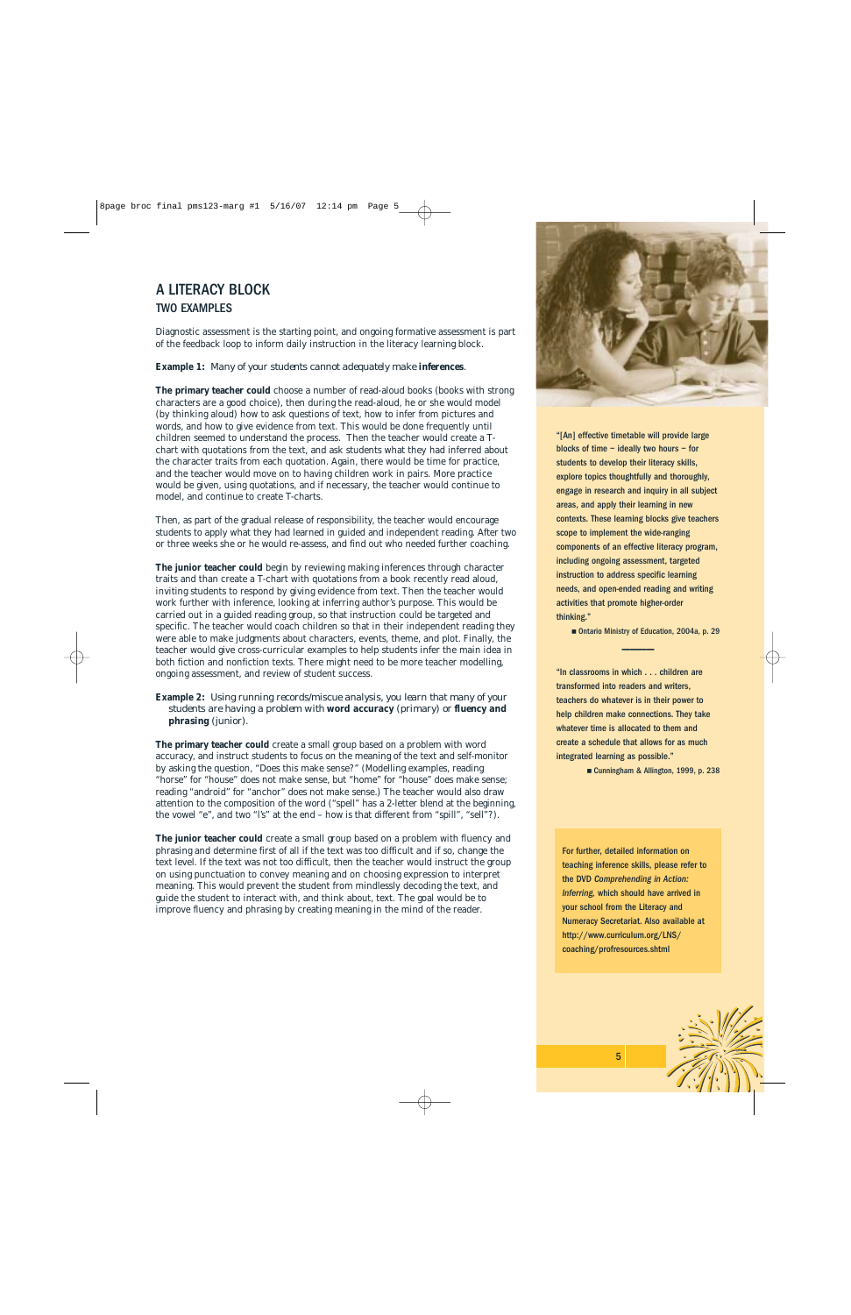# A LITERACY BLOCK TWO EXAMPLES

Diagnostic assessment is the starting point, and ongoing formative assessment is part of the feedback loop to inform daily instruction in the literacy learning block.

#### **Example 1:** *Many of your students cannot adequately make inferences.*

**The primary teacher could** choose a number of read-aloud books (books with strong characters are a good choice), then during the read-aloud, he or she would model (by thinking aloud) how to ask questions of text, how to infer from pictures and words, and how to give evidence from text. This would be done frequently until children seemed to understand the process. Then the teacher would create a Tchart with quotations from the text, and ask students what they had inferred about the character traits from each quotation. Again, there would be time for practice, and the teacher would move on to having children work in pairs. More practice would be given, using quotations, and if necessary, the teacher would continue to model, and continue to create T-charts.

Then, as part of the gradual release of responsibility, the teacher would encourage students to apply what they had learned in guided and independent reading. After two or three weeks she or he would re-assess, and find out who needed further coaching.

**The junior teacher could** begin by reviewing making inferences through character traits and than create a T-chart with quotations from a book recently read aloud, inviting students to respond by giving evidence from text. Then the teacher would work further with inference, looking at inferring author's purpose. This would be carried out in a guided reading group, so that instruction could be targeted and specific. The teacher would coach children so that in their independent reading they were able to make judgments about characters, events, theme, and plot. Finally, the teacher would give cross-curricular examples to help students infer the main idea in both fiction and nonfiction texts. There might need to be more teacher modelling, ongoing assessment, and review of student success.

**Example 2:** *Using running records/miscue analysis, you learn that many of your students are having a problem with word accuracy (primary) or fluency and phrasing (junior).* 

**The primary teacher could** create a small group based on a problem with word accuracy, and instruct students to focus on the meaning of the text and self-monitor by asking the question, "Does this make sense?" (Modelling examples, reading "horse" for "house" does not make sense, but "home" for "house" does make sense; reading "android" for "anchor" does not make sense.) The teacher would also draw attention to the composition of the word ("spell" has a 2-letter blend at the beginning, the vowel "e", and two "l's" at the end – how is that different from "spill", "sell"?).

**The junior teacher could** create a small group based on a problem with fluency and phrasing and determine first of all if the text was too difficult and if so, change the text level. If the text was not too difficult, then the teacher would instruct the group on using punctuation to convey meaning and on choosing expression to interpret meaning. This would prevent the student from mindlessly decoding the text, and guide the student to interact with, and think about, text. The goal would be to improve fluency and phrasing by creating meaning in the mind of the reader.



"[An] effective timetable will provide large blocks of time – ideally two hours – for students to develop their literacy skills, explore topics thoughtfully and thoroughly, engage in research and inquiry in all subject areas, and apply their learning in new contexts. These learning blocks give teachers scope to implement the wide-ranging components of an effective literacy program, including ongoing assessment, targeted instruction to address specific learning needs, and open-ended reading and writing activities that promote higher-order thinking."

■ Ontario Ministry of Education, 2004a, p. 29  $\frac{1}{\sqrt{2}}$ 

"In classrooms in which . . . children are transformed into readers and writers, teachers do whatever is in their power to help children make connections. They take whatever time is allocated to them and create a schedule that allows for as much integrated learning as possible."

■ Cunningham & Allington, 1999, p. 238

For further, detailed information on teaching inference skills, please refer to the DVD *Comprehending in Action: Inferring,* which should have arrived in your school from the Literacy and Numeracy Secretariat. Also available at http://www.curriculum.org/LNS/ coaching/profresources.shtml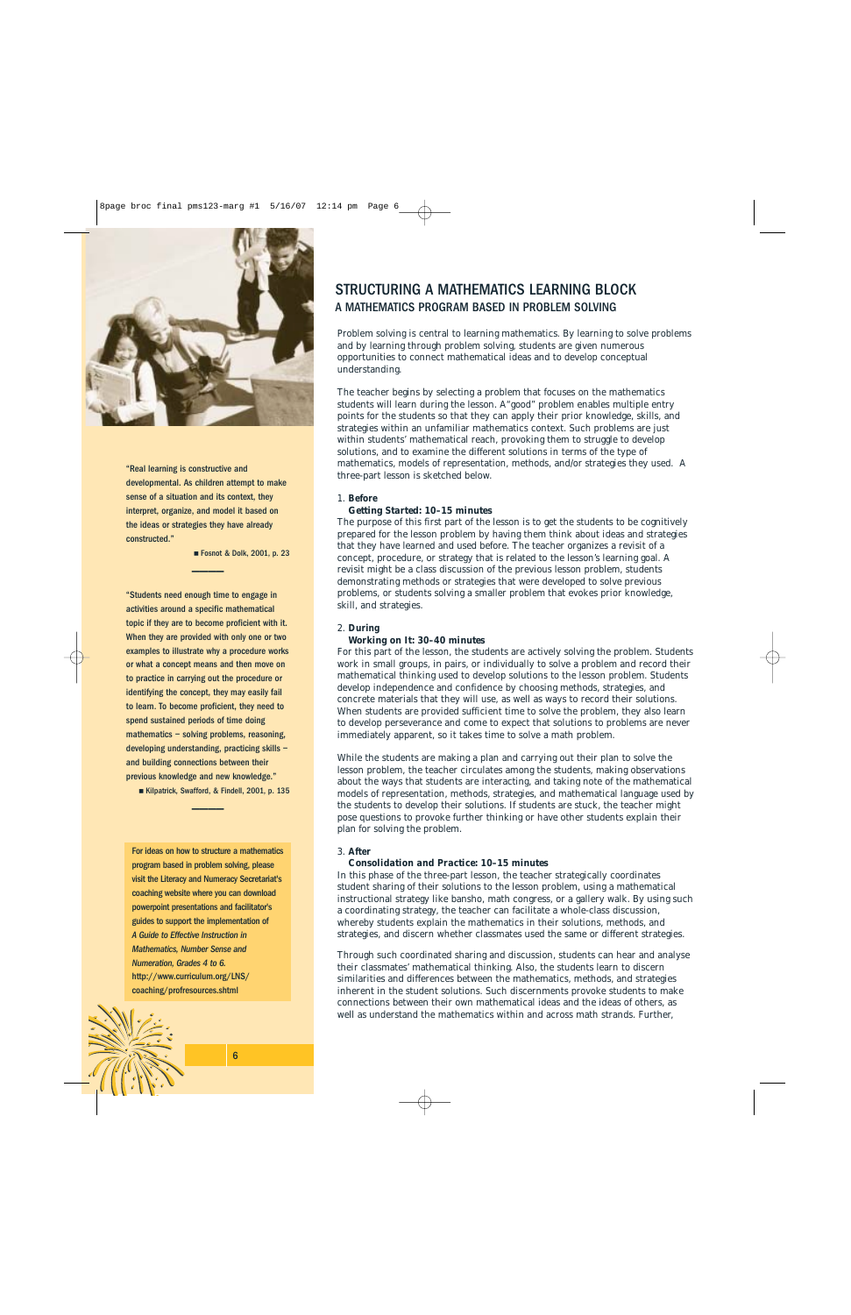

"Real learning is constructive and developmental. As children attempt to make sense of a situation and its context, they interpret, organize, and model it based on the ideas or strategies they have already constructed."

> ■ Fosnot & Dolk, 2001, p. 23 \_\_\_\_

"Students need enough time to engage in activities around a specific mathematical topic if they are to become proficient with it. When they are provided with only one or two examples to illustrate why a procedure works or what a concept means and then move on to practice in carrying out the procedure or identifying the concept, they may easily fail to learn. To become proficient, they need to spend sustained periods of time doing mathematics – solving problems, reasoning, developing understanding, practicing skills – and building connections between their previous knowledge and new knowledge."

■ Kilpatrick, Swafford, & Findell, 2001, p. 135 \_\_\_\_

For ideas on how to structure a mathematics program based in problem solving, please visit the Literacy and Numeracy Secretariat's coaching website where you can download powerpoint presentations and facilitator's guides to support the implementation of *A Guide to Effective Instruction in Mathematics, Number Sense and Numeration, Grades 4 to 6.* http://www.curriculum.org/LNS/ coaching/profresources.shtml

# STRUCTURING A MATHEMATICS LEARNING BLOCK A MATHEMATICS PROGRAM BASED IN PROBLEM SOLVING

Problem solving is central to learning mathematics. By learning to solve problems and by learning through problem solving, students are given numerous opportunities to connect mathematical ideas and to develop conceptual understanding.

The teacher begins by selecting a problem that focuses on the mathematics students will learn during the lesson. A"good" problem enables multiple entry points for the students so that they can apply their prior knowledge, skills, and strategies within an unfamiliar mathematics context. Such problems are just within students' mathematical reach, provoking them to struggle to develop solutions, and to examine the different solutions in terms of the type of mathematics, models of representation, methods, and/or strategies they used. A three-part lesson is sketched below.

#### 1. **Before**

#### *Getting Started: 10–15 minutes*

The purpose of this first part of the lesson is to get the students to be cognitively prepared for the lesson problem by having them think about ideas and strategies that they have learned and used before. The teacher organizes a revisit of a concept, procedure, or strategy that is related to the lesson's learning goal. A revisit might be a class discussion of the previous lesson problem, students demonstrating methods or strategies that were developed to solve previous problems, or students solving a smaller problem that evokes prior knowledge, skill, and strategies.

#### 2. **During**

#### *Working on It: 30–40 minutes*

For this part of the lesson, the students are actively solving the problem. Students work in small groups, in pairs, or individually to solve a problem and record their mathematical thinking used to develop solutions to the lesson problem. Students develop independence and confidence by choosing methods, strategies, and concrete materials that they will use, as well as ways to record their solutions. When students are provided sufficient time to solve the problem, they also learn to develop perseverance and come to expect that solutions to problems are never immediately apparent, so it takes time to solve a math problem.

While the students are making a plan and carrying out their plan to solve the lesson problem, the teacher circulates among the students, making observations about the ways that students are interacting, and taking note of the mathematical models of representation, methods, strategies, and mathematical language used by the students to develop their solutions. If students are stuck, the teacher might pose questions to provoke further thinking or have other students explain their plan for solving the problem.

#### 3. **After**

#### *Consolidation and Practice: 10–15 minutes*

In this phase of the three-part lesson, the teacher strategically coordinates student sharing of their solutions to the lesson problem, using a mathematical instructional strategy like bansho, math congress, or a gallery walk. By using such a coordinating strategy, the teacher can facilitate a whole-class discussion, whereby students explain the mathematics in their solutions, methods, and strategies, and discern whether classmates used the same or different strategies.

Through such coordinated sharing and discussion, students can hear and analyse their classmates' mathematical thinking. Also, the students learn to discern similarities and differences between the mathematics, methods, and strategies inherent in the student solutions. Such discernments provoke students to make connections between their own mathematical ideas and the ideas of others, as well as understand the mathematics within and across math strands. Further,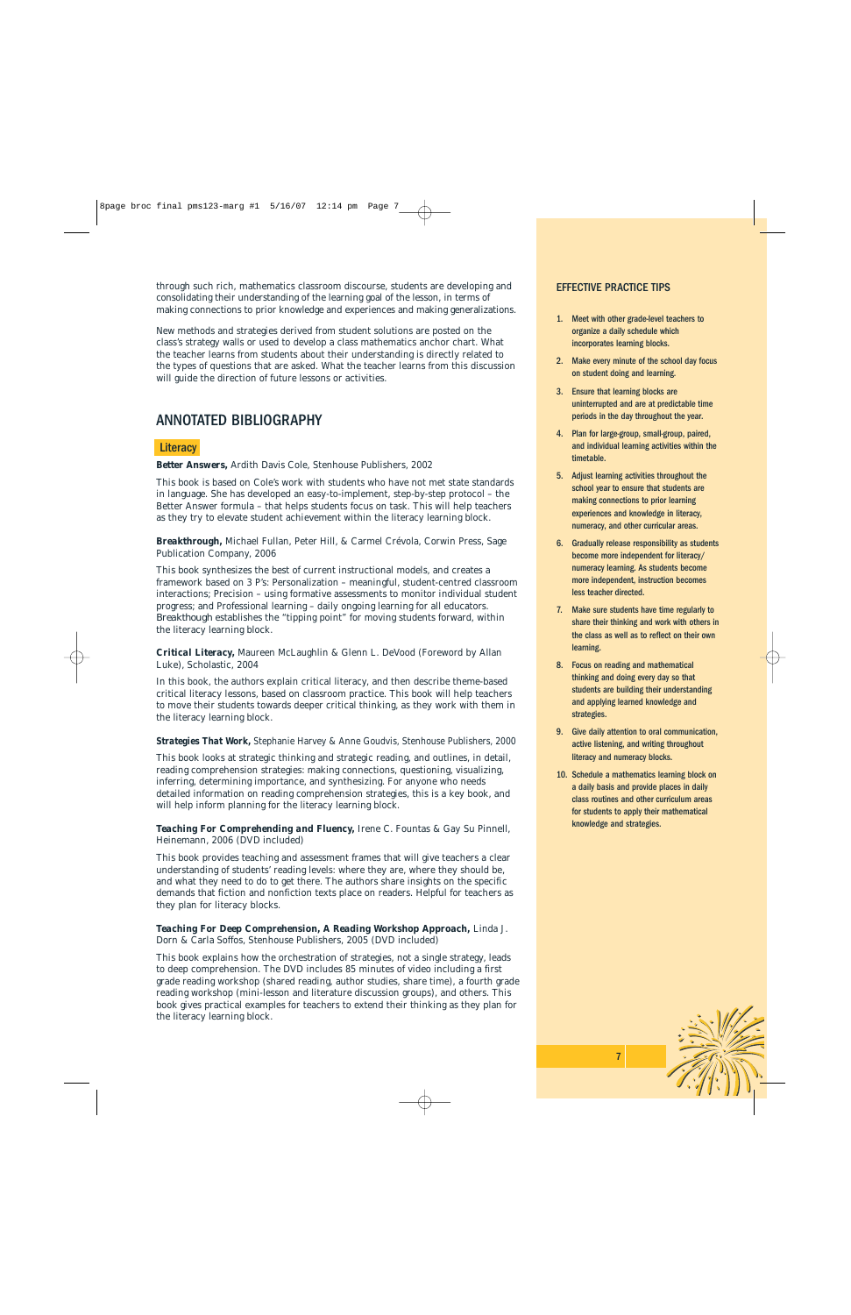through such rich, mathematics classroom discourse, students are developing and consolidating their understanding of the learning goal of the lesson, in terms of making connections to prior knowledge and experiences and making generalizations.

New methods and strategies derived from student solutions are posted on the class's strategy walls or used to develop a class mathematics anchor chart. What the teacher learns from students about their understanding is directly related to the types of questions that are asked. What the teacher learns from this discussion will guide the direction of future lessons or activities.

# ANNOTATED BIBLIOGRAPHY

#### **Literacy**

*Better Answers,* Ardith Davis Cole, Stenhouse Publishers, 2002

This book is based on Cole's work with students who have not met state standards in language. She has developed an easy-to-implement, step-by-step protocol – the Better Answer formula – that helps students focus on task. This will help teachers as they try to elevate student achievement within the literacy learning block.

*Breakthrough,* Michael Fullan, Peter Hill, & Carmel Crévola, Corwin Press, Sage Publication Company, 2006

This book synthesizes the best of current instructional models, and creates a framework based on 3 P's: Personalization – meaningful, student-centred classroom interactions; Precision – using formative assessments to monitor individual student progress; and Professional learning – daily ongoing learning for all educators. *Breakthough* establishes the "tipping point" for moving students forward, within the literacy learning block.

*Critical Literacy,* Maureen McLaughlin & Glenn L. DeVood (Foreword by Allan Luke), Scholastic, 2004

In this book, the authors explain critical literacy, and then describe theme-based critical literacy lessons, based on classroom practice. This book will help teachers to move their students towards deeper critical thinking, as they work with them in the literacy learning block.

*Strategies That Work,* Stephanie Harvey & Anne Goudvis, Stenhouse Publishers, 2000

This book looks at strategic thinking and strategic reading, and outlines, in detail, reading comprehension strategies: making connections, questioning, visualizing, inferring, determining importance, and synthesizing. For anyone who needs detailed information on reading comprehension strategies, this is a key book, and will help inform planning for the literacy learning block.

*Teaching For Comprehending and Fluency,* Irene C. Fountas & Gay Su Pinnell, Heinemann, 2006 (DVD included)

This book provides teaching and assessment frames that will give teachers a clear understanding of students' reading levels: where they are, where they should be, and what they need to do to get there. The authors share insights on the specific demands that fiction and nonfiction texts place on readers. Helpful for teachers as they plan for literacy blocks.

*Teaching For Deep Comprehension, A Reading Workshop Approach,* Linda J. Dorn & Carla Soffos, Stenhouse Publishers, 2005 (DVD included)

This book explains how the orchestration of strategies, not a single strategy, leads to deep comprehension. The DVD includes 85 minutes of video including a first grade reading workshop (shared reading, author studies, share time), a fourth grade reading workshop (mini-lesson and literature discussion groups), and others. This book gives practical examples for teachers to extend their thinking as they plan for the literacy learning block.

#### EFFECTIVE PRACTICE TIPS

- 1. Meet with other grade-level teachers to organize a daily schedule which incorporates learning blocks.
- 2. Make every minute of the school day focus on student doing and learning.
- 3. Ensure that learning blocks are uninterrupted and are at predictable time periods in the day throughout the year.
- 4. Plan for large-group, small-group, paired, and individual learning activities within the timetable.
- 5. Adjust learning activities throughout the school year to ensure that students are making connections to prior learning experiences and knowledge in literacy, numeracy, and other curricular areas.
- 6. Gradually release responsibility as students become more independent for literacy/ numeracy learning. As students become more independent, instruction becomes less teacher directed.
- 7. Make sure students have time regularly to share their thinking and work with others in the class as well as to reflect on their own learning.
- 8. Focus on reading and mathematical thinking and doing every day so that students are building their understanding and applying learned knowledge and strategies.
- 9. Give daily attention to oral communication, active listening, and writing throughout literacy and numeracy blocks.
- 10. Schedule a mathematics learning block on a daily basis and provide places in daily class routines and other curriculum areas for students to apply their mathematical knowledge and strategies.



7